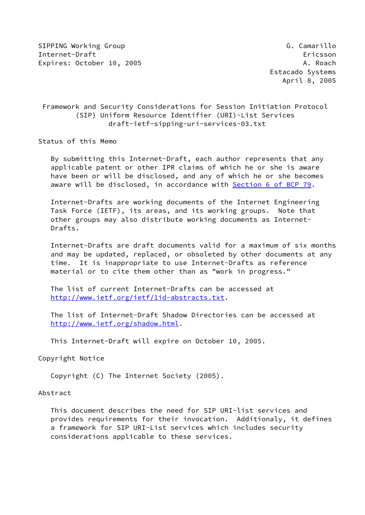SIPPING Working Group Group G. Camarillo Internet-Draft Ericsson Expires: October 10, 2005 A. Roach A. Roach A. Roach

# Framework and Security Considerations for Session Initiation Protocol (SIP) Uniform Resource Identifier (URI)-List Services draft-ietf-sipping-uri-services-03.txt

Status of this Memo

 By submitting this Internet-Draft, each author represents that any applicable patent or other IPR claims of which he or she is aware have been or will be disclosed, and any of which he or she becomes aware will be disclosed, in accordance with Section [6 of BCP 79.](https://datatracker.ietf.org/doc/pdf/bcp79#section-6)

 Internet-Drafts are working documents of the Internet Engineering Task Force (IETF), its areas, and its working groups. Note that other groups may also distribute working documents as Internet- Drafts.

 Internet-Drafts are draft documents valid for a maximum of six months and may be updated, replaced, or obsoleted by other documents at any time. It is inappropriate to use Internet-Drafts as reference material or to cite them other than as "work in progress."

 The list of current Internet-Drafts can be accessed at <http://www.ietf.org/ietf/1id-abstracts.txt>.

 The list of Internet-Draft Shadow Directories can be accessed at <http://www.ietf.org/shadow.html>.

This Internet-Draft will expire on October 10, 2005.

Copyright Notice

Copyright (C) The Internet Society (2005).

#### Abstract

 This document describes the need for SIP URI-list services and provides requirements for their invocation. Additionaly, it defines a framework for SIP URI-List services which includes security considerations applicable to these services.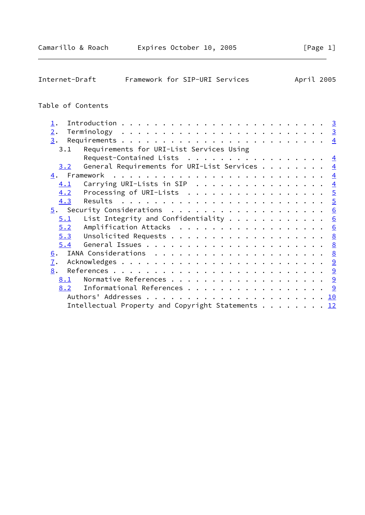| Framework for SIP-URI Services<br>Internet-Draft                           |  |  |  |  | April 2005     |
|----------------------------------------------------------------------------|--|--|--|--|----------------|
| Table of Contents                                                          |  |  |  |  |                |
| $\perp$ .                                                                  |  |  |  |  |                |
| 2.                                                                         |  |  |  |  | $\overline{3}$ |
| 3.                                                                         |  |  |  |  |                |
| Requirements for URI-List Services Using<br>3.1                            |  |  |  |  |                |
| Request-Contained Lists $\frac{4}{5}$                                      |  |  |  |  |                |
| General Requirements for URI-List Services $\frac{4}{5}$<br>3.2            |  |  |  |  |                |
|                                                                            |  |  |  |  |                |
| Carrying URI-Lists in SIP $\frac{4}{5}$<br>4.1                             |  |  |  |  |                |
| Processing of URI-Lists $\ldots \ldots \ldots \ldots \ldots \ldots$<br>4.2 |  |  |  |  |                |
| Results<br>4.3                                                             |  |  |  |  |                |
|                                                                            |  |  |  |  |                |
| List Integrity and Confidentiality $6$<br>5.1                              |  |  |  |  |                |
| Amplification Attacks 6<br>5.2                                             |  |  |  |  |                |
| 5.3                                                                        |  |  |  |  |                |
| 5.4                                                                        |  |  |  |  |                |
| 6.                                                                         |  |  |  |  |                |
| 7.                                                                         |  |  |  |  |                |
| 8.                                                                         |  |  |  |  |                |
| 8.1                                                                        |  |  |  |  |                |
| Informational References 9<br>8.2                                          |  |  |  |  |                |
|                                                                            |  |  |  |  |                |
| Intellectual Property and Copyright Statements 12                          |  |  |  |  |                |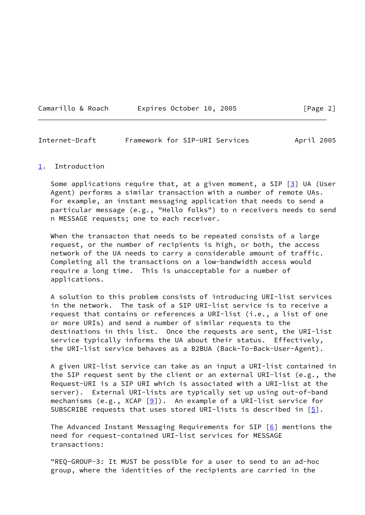| Camarillo & Roach |  | Expires October 10, 2 |  |
|-------------------|--|-----------------------|--|
|                   |  |                       |  |

<span id="page-2-1"></span>

| Internet-Draft |  | Framework for SIP-URI Services | April 2005 |  |
|----------------|--|--------------------------------|------------|--|
|                |  |                                |            |  |

#### <span id="page-2-0"></span>[1](#page-2-0). Introduction

Some applications require that, at a given moment, a SIP  $\boxed{3}$  UA (User Agent) performs a similar transaction with a number of remote UAs. For example, an instant messaging application that needs to send a particular message (e.g., "Hello folks") to n receivers needs to send n MESSAGE requests; one to each receiver.

When the transacton that needs to be repeated consists of a large request, or the number of recipients is high, or both, the access network of the UA needs to carry a considerable amount of traffic. Completing all the transactions on a low-bandwidth access would require a long time. This is unacceptable for a number of applications.

 A solution to this problem consists of introducing URI-list services in the network. The task of a SIP URI-list service is to receive a request that contains or references a URI-list (i.e., a list of one or more URIs) and send a number of similar requests to the destinations in this list. Once the requests are sent, the URI-list service typically informs the UA about their status. Effectively, the URI-list service behaves as a B2BUA (Back-To-Back-User-Agent).

 A given URI-list service can take as an input a URI-list contained in the SIP request sent by the client or an external URI-list (e.g., the Request-URI is a SIP URI which is associated with a URI-list at the server). External URI-lists are typically set up using out-of-band mechanisms (e.g., XCAP  $[9]$  $[9]$ ). An example of a URI-list service for SUBSCRIBE requests that uses stored URI-lists is described in  $[5]$  $[5]$ .

 The Advanced Instant Messaging Requirements for SIP [\[6](#page-9-8)] mentions the need for request-contained URI-list services for MESSAGE transactions:

 "REQ-GROUP-3: It MUST be possible for a user to send to an ad-hoc group, where the identities of the recipients are carried in the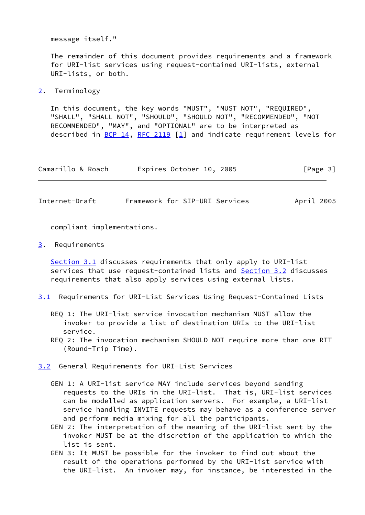message itself."

 The remainder of this document provides requirements and a framework for URI-list services using request-contained URI-lists, external URI-lists, or both.

<span id="page-3-0"></span>[2](#page-3-0). Terminology

 In this document, the key words "MUST", "MUST NOT", "REQUIRED", "SHALL", "SHALL NOT", "SHOULD", "SHOULD NOT", "RECOMMENDED", "NOT RECOMMENDED", "MAY", and "OPTIONAL" are to be interpreted as described in [BCP 14](https://datatracker.ietf.org/doc/pdf/bcp14), [RFC 2119](https://datatracker.ietf.org/doc/pdf/rfc2119)  $\lceil 1 \rceil$  and indicate requirement levels for

| Camarillo & Roach | Expires October 10, 2005 | [Page 3] |
|-------------------|--------------------------|----------|
|-------------------|--------------------------|----------|

<span id="page-3-2"></span>Internet-Draft Framework for SIP-URI Services April 2005

compliant implementations.

<span id="page-3-1"></span>[3](#page-3-1). Requirements

 [Section 3.1](#page-3-4) discusses requirements that only apply to URI-list services that use request-contained lists and [Section 3.2](#page-3-3) discusses requirements that also apply services using external lists.

- <span id="page-3-4"></span>[3.1](#page-3-4) Requirements for URI-List Services Using Request-Contained Lists
	- REQ 1: The URI-list service invocation mechanism MUST allow the invoker to provide a list of destination URIs to the URI-list service.
	- REQ 2: The invocation mechanism SHOULD NOT require more than one RTT (Round-Trip Time).

<span id="page-3-3"></span>[3.2](#page-3-3) General Requirements for URI-List Services

- GEN 1: A URI-list service MAY include services beyond sending requests to the URIs in the URI-list. That is, URI-list services can be modelled as application servers. For example, a URI-list service handling INVITE requests may behave as a conference server and perform media mixing for all the participants.
- GEN 2: The interpretation of the meaning of the URI-list sent by the invoker MUST be at the discretion of the application to which the list is sent.
- GEN 3: It MUST be possible for the invoker to find out about the result of the operations performed by the URI-list service with the URI-list. An invoker may, for instance, be interested in the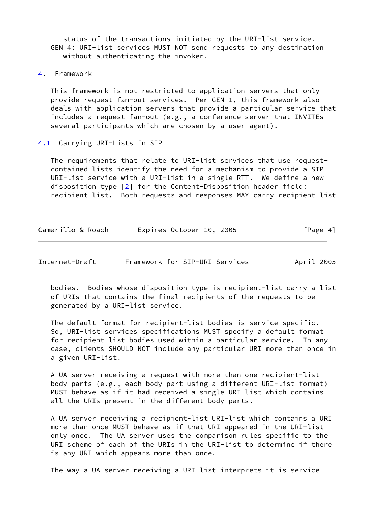status of the transactions initiated by the URI-list service. GEN 4: URI-list services MUST NOT send requests to any destination without authenticating the invoker.

<span id="page-4-0"></span>[4](#page-4-0). Framework

 This framework is not restricted to application servers that only provide request fan-out services. Per GEN 1, this framework also deals with application servers that provide a particular service that includes a request fan-out (e.g., a conference server that INVITEs several participants which are chosen by a user agent).

#### <span id="page-4-1"></span>[4.1](#page-4-1) Carrying URI-Lists in SIP

 The requirements that relate to URI-list services that use request contained lists identify the need for a mechanism to provide a SIP URI-list service with a URI-list in a single RTT. We define a new disposition type [\[2\]](#page-9-10) for the Content-Disposition header field: recipient-list. Both requests and responses MAY carry recipient-list

| Camarillo & Roach | Expires October 10, 2005 |  | [Page 4] |
|-------------------|--------------------------|--|----------|
|-------------------|--------------------------|--|----------|

<span id="page-4-2"></span>

| Internet-Draft | Framework for SIP-URI Services |  |  |  | April 2005 |
|----------------|--------------------------------|--|--|--|------------|
|----------------|--------------------------------|--|--|--|------------|

 bodies. Bodies whose disposition type is recipient-list carry a list of URIs that contains the final recipients of the requests to be generated by a URI-list service.

 The default format for recipient-list bodies is service specific. So, URI-list services specifications MUST specify a default format for recipient-list bodies used within a particular service. In any case, clients SHOULD NOT include any particular URI more than once in a given URI-list.

 A UA server receiving a request with more than one recipient-list body parts (e.g., each body part using a different URI-list format) MUST behave as if it had received a single URI-list which contains all the URIs present in the different body parts.

 A UA server receiving a recipient-list URI-list which contains a URI more than once MUST behave as if that URI appeared in the URI-list only once. The UA server uses the comparison rules specific to the URI scheme of each of the URIs in the URI-list to determine if there is any URI which appears more than once.

The way a UA server receiving a URI-list interprets it is service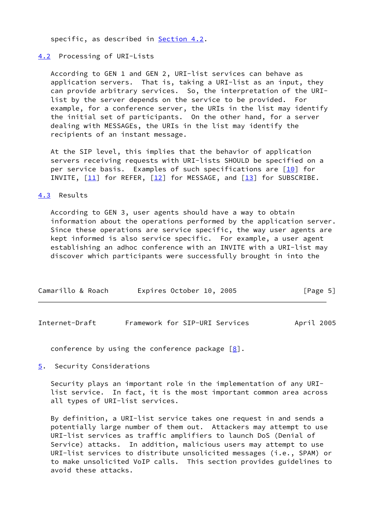specific, as described in **Section 4.2**.

## <span id="page-5-0"></span>[4.2](#page-5-0) Processing of URI-Lists

 According to GEN 1 and GEN 2, URI-list services can behave as application servers. That is, taking a URI-list as an input, they can provide arbitrary services. So, the interpretation of the URI list by the server depends on the service to be provided. For example, for a conference server, the URIs in the list may identify the initial set of participants. On the other hand, for a server dealing with MESSAGEs, the URIs in the list may identify the recipients of an instant message.

 At the SIP level, this implies that the behavior of application servers receiving requests with URI-lists SHOULD be specified on a per service basis. Examples of such specifications are [\[10\]](#page-10-1) for INVITE,  $[11]$  for REFER,  $[12]$  for MESSAGE, and  $[13]$  $[13]$  for SUBSCRIBE.

## <span id="page-5-1"></span>[4.3](#page-5-1) Results

 According to GEN 3, user agents should have a way to obtain information about the operations performed by the application server. Since these operations are service specific, the way user agents are kept informed is also service specific. For example, a user agent establishing an adhoc conference with an INVITE with a URI-list may discover which participants were successfully brought in into the

| Camarillo & Roach | Expires October 10, 2005 | [Page 5] |
|-------------------|--------------------------|----------|
|                   |                          |          |

<span id="page-5-3"></span>Internet-Draft Framework for SIP-URI Services April 2005

conference by using the conference package  $[8]$  $[8]$ .

<span id="page-5-2"></span>[5](#page-5-2). Security Considerations

 Security plays an important role in the implementation of any URI list service. In fact, it is the most important common area across all types of URI-list services.

 By definition, a URI-list service takes one request in and sends a potentially large number of them out. Attackers may attempt to use URI-list services as traffic amplifiers to launch DoS (Denial of Service) attacks. In addition, malicious users may attempt to use URI-list services to distribute unsolicited messages (i.e., SPAM) or to make unsolicited VoIP calls. This section provides guidelines to avoid these attacks.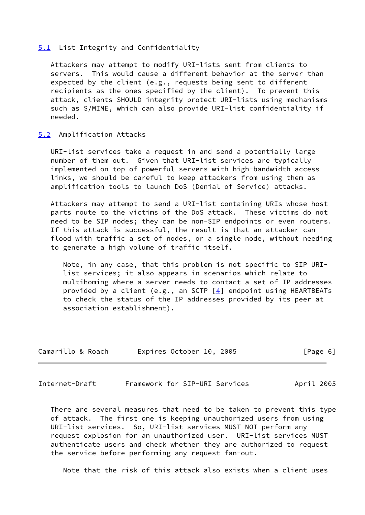#### <span id="page-6-0"></span>[5.1](#page-6-0) List Integrity and Confidentiality

 Attackers may attempt to modify URI-lists sent from clients to servers. This would cause a different behavior at the server than expected by the client (e.g., requests being sent to different recipients as the ones specified by the client). To prevent this attack, clients SHOULD integrity protect URI-lists using mechanisms such as S/MIME, which can also provide URI-list confidentiality if needed.

## <span id="page-6-1"></span>[5.2](#page-6-1) Amplification Attacks

 URI-list services take a request in and send a potentially large number of them out. Given that URI-list services are typically implemented on top of powerful servers with high-bandwidth access links, we should be careful to keep attackers from using them as amplification tools to launch DoS (Denial of Service) attacks.

 Attackers may attempt to send a URI-list containing URIs whose host parts route to the victims of the DoS attack. These victims do not need to be SIP nodes; they can be non-SIP endpoints or even routers. If this attack is successful, the result is that an attacker can flood with traffic a set of nodes, or a single node, without needing to generate a high volume of traffic itself.

 Note, in any case, that this problem is not specific to SIP URI list services; it also appears in scenarios which relate to multihoming where a server needs to contact a set of IP addresses provided by a client (e.g., an SCTP  $[4]$  $[4]$  endpoint using HEARTBEATs to check the status of the IP addresses provided by its peer at association establishment).

| Camarillo & Roach | Expires October 10, 2005 | [Page 6] |
|-------------------|--------------------------|----------|
|-------------------|--------------------------|----------|

Internet-Draft Framework for SIP-URI Services April 2005

 There are several measures that need to be taken to prevent this type of attack. The first one is keeping unauthorized users from using URI-list services. So, URI-list services MUST NOT perform any request explosion for an unauthorized user. URI-list services MUST authenticate users and check whether they are authorized to request the service before performing any request fan-out.

Note that the risk of this attack also exists when a client uses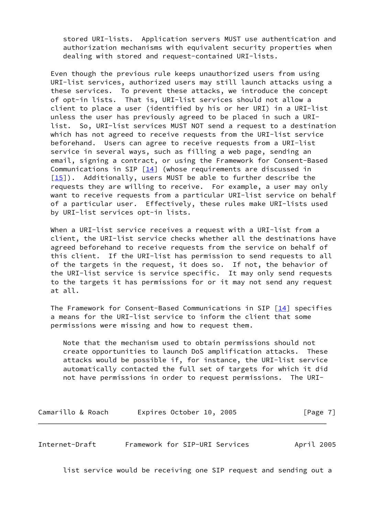stored URI-lists. Application servers MUST use authentication and authorization mechanisms with equivalent security properties when dealing with stored and request-contained URI-lists.

 Even though the previous rule keeps unauthorized users from using URI-list services, authorized users may still launch attacks using a these services. To prevent these attacks, we introduce the concept of opt-in lists. That is, URI-list services should not allow a client to place a user (identified by his or her URI) in a URI-list unless the user has previously agreed to be placed in such a URI list. So, URI-list services MUST NOT send a request to a destination which has not agreed to receive requests from the URI-list service beforehand. Users can agree to receive requests from a URI-list service in several ways, such as filling a web page, sending an email, signing a contract, or using the Framework for Consent-Based Communications in SIP [[14\]](#page-10-5) (whose requirements are discussed in [\[15\]](#page-10-6)). Additionally, users MUST be able to further describe the requests they are willing to receive. For example, a user may only want to receive requests from a particular URI-list service on behalf of a particular user. Effectively, these rules make URI-lists used by URI-list services opt-in lists.

 When a URI-list service receives a request with a URI-list from a client, the URI-list service checks whether all the destinations have agreed beforehand to receive requests from the service on behalf of this client. If the URI-list has permission to send requests to all of the targets in the request, it does so. If not, the behavior of the URI-list service is service specific. It may only send requests to the targets it has permissions for or it may not send any request at all.

The Framework for Consent-Based Communications in SIP [[14\]](#page-10-5) specifies a means for the URI-list service to inform the client that some permissions were missing and how to request them.

 Note that the mechanism used to obtain permissions should not create opportunities to launch DoS amplification attacks. These attacks would be possible if, for instance, the URI-list service automatically contacted the full set of targets for which it did not have permissions in order to request permissions. The URI-

Camarillo & Roach and Expires October 10, 2005 [Page 7]

<span id="page-7-0"></span>Internet-Draft Framework for SIP-URI Services April 2005

list service would be receiving one SIP request and sending out a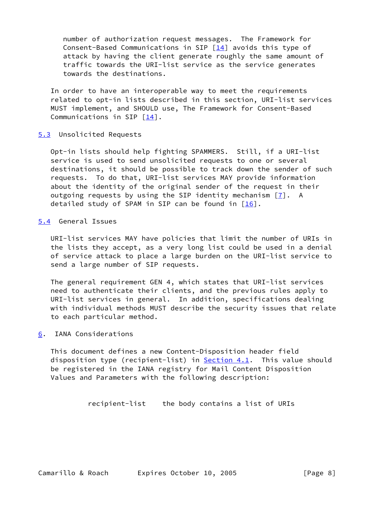number of authorization request messages. The Framework for Consent-Based Communications in SIP  $[14]$  $[14]$  avoids this type of attack by having the client generate roughly the same amount of traffic towards the URI-list service as the service generates towards the destinations.

 In order to have an interoperable way to meet the requirements related to opt-in lists described in this section, URI-list services MUST implement, and SHOULD use, The Framework for Consent-Based Communications in SIP  $\lceil \frac{14}{1} \rceil$ .

## <span id="page-8-0"></span>[5.3](#page-8-0) Unsolicited Requests

 Opt-in lists should help fighting SPAMMERS. Still, if a URI-list service is used to send unsolicited requests to one or several destinations, it should be possible to track down the sender of such requests. To do that, URI-list services MAY provide information about the identity of the original sender of the request in their outgoing requests by using the SIP identity mechanism [[7\]](#page-9-13). A detailed study of SPAM in SIP can be found in  $[16]$  $[16]$ .

<span id="page-8-1"></span>[5.4](#page-8-1) General Issues

 URI-list services MAY have policies that limit the number of URIs in the lists they accept, as a very long list could be used in a denial of service attack to place a large burden on the URI-list service to send a large number of SIP requests.

 The general requirement GEN 4, which states that URI-list services need to authenticate their clients, and the previous rules apply to URI-list services in general. In addition, specifications dealing with individual methods MUST describe the security issues that relate to each particular method.

<span id="page-8-2"></span>[6](#page-8-2). IANA Considerations

 This document defines a new Content-Disposition header field disposition type (recipient-list) in [Section 4.1](#page-4-1). This value should be registered in the IANA registry for Mail Content Disposition Values and Parameters with the following description:

```
 recipient-list the body contains a list of URIs
```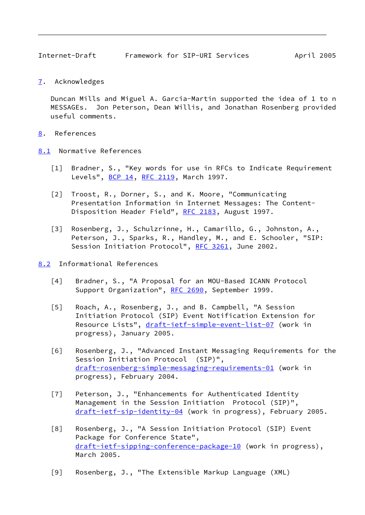<span id="page-9-1"></span>Internet-Draft Framework for SIP-URI Services April 2005

<span id="page-9-0"></span>[7](#page-9-0). Acknowledges

 Duncan Mills and Miguel A. Garcia-Martin supported the idea of 1 to n MESSAGEs. Jon Peterson, Dean Willis, and Jonathan Rosenberg provided useful comments.

- <span id="page-9-2"></span>[8](#page-9-2). References
- <span id="page-9-10"></span><span id="page-9-9"></span><span id="page-9-3"></span>[8.1](#page-9-3) Normative References
	- [1] Bradner, S., "Key words for use in RFCs to Indicate Requirement Levels", [BCP 14](https://datatracker.ietf.org/doc/pdf/bcp14), [RFC 2119](https://datatracker.ietf.org/doc/pdf/rfc2119), March 1997.
	- [2] Troost, R., Dorner, S., and K. Moore, "Communicating Presentation Information in Internet Messages: The Content- Disposition Header Field", [RFC 2183](https://datatracker.ietf.org/doc/pdf/rfc2183), August 1997.
	- [3] Rosenberg, J., Schulzrinne, H., Camarillo, G., Johnston, A., Peterson, J., Sparks, R., Handley, M., and E. Schooler, "SIP: Session Initiation Protocol", [RFC 3261,](https://datatracker.ietf.org/doc/pdf/rfc3261) June 2002.
- <span id="page-9-13"></span><span id="page-9-12"></span><span id="page-9-11"></span><span id="page-9-8"></span><span id="page-9-7"></span><span id="page-9-6"></span><span id="page-9-5"></span><span id="page-9-4"></span>[8.2](#page-9-4) Informational References
	- [4] Bradner, S., "A Proposal for an MOU-Based ICANN Protocol Support Organization", [RFC 2690](https://datatracker.ietf.org/doc/pdf/rfc2690), September 1999.
	- [5] Roach, A., Rosenberg, J., and B. Campbell, "A Session Initiation Protocol (SIP) Event Notification Extension for Resource Lists", [draft-ietf-simple-event-list-07](https://datatracker.ietf.org/doc/pdf/draft-ietf-simple-event-list-07) (work in progress), January 2005.
	- [6] Rosenberg, J., "Advanced Instant Messaging Requirements for the Session Initiation Protocol (SIP)", [draft-rosenberg-simple-messaging-requirements-01](https://datatracker.ietf.org/doc/pdf/draft-rosenberg-simple-messaging-requirements-01) (work in progress), February 2004.
	- [7] Peterson, J., "Enhancements for Authenticated Identity Management in the Session Initiation Protocol (SIP)", [draft-ietf-sip-identity-04](https://datatracker.ietf.org/doc/pdf/draft-ietf-sip-identity-04) (work in progress), February 2005.
	- [8] Rosenberg, J., "A Session Initiation Protocol (SIP) Event Package for Conference State", [draft-ietf-sipping-conference-package-10](https://datatracker.ietf.org/doc/pdf/draft-ietf-sipping-conference-package-10) (work in progress), March 2005.
	- [9] Rosenberg, J., "The Extensible Markup Language (XML)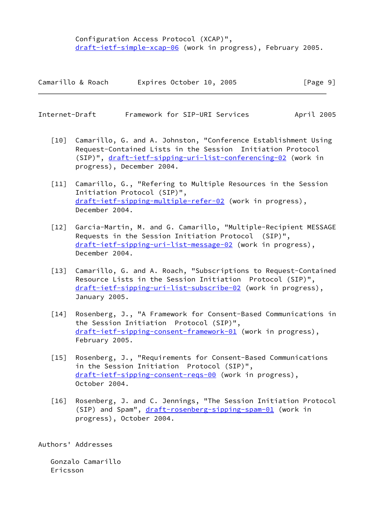Configuration Access Protocol (XCAP)", [draft-ietf-simple-xcap-06](https://datatracker.ietf.org/doc/pdf/draft-ietf-simple-xcap-06) (work in progress), February 2005.

| Camarillo & Roach | Expires October 10, 2005 | [Page 9] |
|-------------------|--------------------------|----------|
|-------------------|--------------------------|----------|

<span id="page-10-0"></span>

| Internet-Draft | Framework for SIP-URI Services |  | April 2005 |  |
|----------------|--------------------------------|--|------------|--|
|                |                                |  |            |  |

- <span id="page-10-1"></span> [10] Camarillo, G. and A. Johnston, "Conference Establishment Using Request-Contained Lists in the Session Initiation Protocol (SIP)", [draft-ietf-sipping-uri-list-conferencing-02](https://datatracker.ietf.org/doc/pdf/draft-ietf-sipping-uri-list-conferencing-02) (work in progress), December 2004.
- <span id="page-10-2"></span> [11] Camarillo, G., "Refering to Multiple Resources in the Session Initiation Protocol (SIP)", [draft-ietf-sipping-multiple-refer-02](https://datatracker.ietf.org/doc/pdf/draft-ietf-sipping-multiple-refer-02) (work in progress), December 2004.
- <span id="page-10-3"></span> [12] Garcia-Martin, M. and G. Camarillo, "Multiple-Recipient MESSAGE Requests in the Session Initiation Protocol (SIP)", [draft-ietf-sipping-uri-list-message-02](https://datatracker.ietf.org/doc/pdf/draft-ietf-sipping-uri-list-message-02) (work in progress), December 2004.
- <span id="page-10-4"></span> [13] Camarillo, G. and A. Roach, "Subscriptions to Request-Contained Resource Lists in the Session Initiation Protocol (SIP)", [draft-ietf-sipping-uri-list-subscribe-02](https://datatracker.ietf.org/doc/pdf/draft-ietf-sipping-uri-list-subscribe-02) (work in progress), January 2005.
- <span id="page-10-5"></span>[14] Rosenberg, J., "A Framework for Consent-Based Communications in the Session Initiation Protocol (SIP)", [draft-ietf-sipping-consent-framework-01](https://datatracker.ietf.org/doc/pdf/draft-ietf-sipping-consent-framework-01) (work in progress), February 2005.
- <span id="page-10-6"></span> [15] Rosenberg, J., "Requirements for Consent-Based Communications in the Session Initiation Protocol (SIP)", [draft-ietf-sipping-consent-reqs-00](https://datatracker.ietf.org/doc/pdf/draft-ietf-sipping-consent-reqs-00) (work in progress), October 2004.
- <span id="page-10-7"></span> [16] Rosenberg, J. and C. Jennings, "The Session Initiation Protocol (SIP) and Spam", [draft-rosenberg-sipping-spam-01](https://datatracker.ietf.org/doc/pdf/draft-rosenberg-sipping-spam-01) (work in progress), October 2004.

Authors' Addresses

 Gonzalo Camarillo Ericsson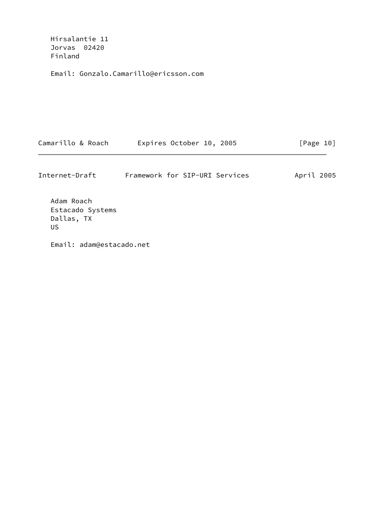Hirsalantie 11 Jorvas 02420 Finland

Email: Gonzalo.Camarillo@ericsson.com

| Camarillo & Roach | Expires October 10, 2005 | [Page 10] |
|-------------------|--------------------------|-----------|
|-------------------|--------------------------|-----------|

| Internet-Draft | Framework for SIP-URI Services |  | April 2005 |  |
|----------------|--------------------------------|--|------------|--|
|                |                                |  |            |  |

 Adam Roach Estacado Systems Dallas, TX US

Email: adam@estacado.net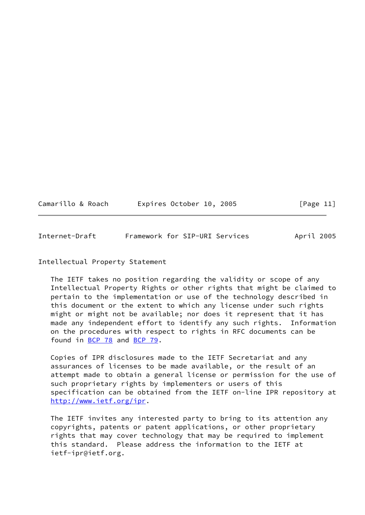| Camarillo & Roach | Expires October 10, 2005 | [Page 11] |
|-------------------|--------------------------|-----------|
|-------------------|--------------------------|-----------|

<span id="page-12-0"></span>Internet-Draft Framework for SIP-URI Services April 2005

## Intellectual Property Statement

 The IETF takes no position regarding the validity or scope of any Intellectual Property Rights or other rights that might be claimed to pertain to the implementation or use of the technology described in this document or the extent to which any license under such rights might or might not be available; nor does it represent that it has made any independent effort to identify any such rights. Information on the procedures with respect to rights in RFC documents can be found in [BCP 78](https://datatracker.ietf.org/doc/pdf/bcp78) and [BCP 79](https://datatracker.ietf.org/doc/pdf/bcp79).

 Copies of IPR disclosures made to the IETF Secretariat and any assurances of licenses to be made available, or the result of an attempt made to obtain a general license or permission for the use of such proprietary rights by implementers or users of this specification can be obtained from the IETF on-line IPR repository at <http://www.ietf.org/ipr>.

 The IETF invites any interested party to bring to its attention any copyrights, patents or patent applications, or other proprietary rights that may cover technology that may be required to implement this standard. Please address the information to the IETF at ietf-ipr@ietf.org.